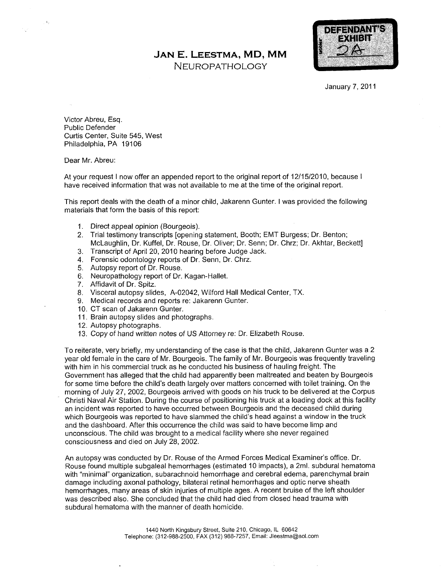## JAN E. LEESTMA, MD, MM

NEUROPATHOLOGY



**January 7, 2011** 

Victor Abreu, Esq. Public Defender Curtis Center, Suite 545, West Philadelphia, PA 19106

Dear Mr. Abreu:

At your request I now offer an appended report to the original report of 12/15/2010, because I have received information that was not available to me at the time of the original report

This report deals with the death of a minor child, Jakarenn Gunter. I was provided the following materials that form the basis of this report

- 1. Direct appeal opinion (Bourgeois).
- 2. Trial testimony transcripts [opening statement, Booth; EMT Burgess; Dr. Benton; McLaughlin, Dr. Kuffel, Dr. Rouse, Dr. Oliver; Dr. Senn; Dr. Chrz; Dr. Akhtar, Beckett]
- 3. Transcript of April 20, 2010 hearing before Judge Jack.
- 4. Forensic odontology reports of Dr. Senn, Dr. Chrz.
- 5. Autopsy report of Dr. Rouse.
- 6. Neuropathology report of Dr. Kagan-Hallet.
- 7. Affidavit of Dr. Spitz.
- 8. Visceral autopsy slides, A-02042, Wilford Hall Medical Center, TX.
- 9. Medical records and reports re: Jakarenn Gunter.
- 10. CT scan of Jakarenn Gunter.
- 11. Brain autopsy slides and photographs.
- 12. Autopsy photographs.
- 13. Copy of hand written notes of US Attorney re: Dr. Elizabeth Rouse.

To reiterate, very briefly, my understanding of the case is that the child, Jakarenn Gunter was a 2 year old female in the care of Mr. Bourgeois. The family of Mr. Bourgeois was frequently traveling with him in his commercial truck as he conducted his business of hauling freight. The Government has alleged that the child had apparently been maltreated and beaten by Bourgeois for some time before the child's death largely over matters concerned with toilet training. On the morning of July 27, 2002, Bourgeois arrived with goods on his truck to be delivered at the Corpus Christi Naval Air Station. During the course of positioning his truck at a loading dock at this facility an incident was reported to have occurred between Bourgeois and the deceased child during which Bourgeois was reported to have slammed the child's head against a window in the truck and the dashboard. After this occurrence the child was said to have become limp and unconscious. The child was brought to a medical facility where she never regained consciousness and died on July 28, 2002.

An autopsy was conducted by Dr. Rouse of the Armed Forces Medical Examiner's office. Dr. Rouse found multiple subgaleal hemorrhages (estimated 10 impacts), a 2ml. subdural hematoma with "minimal" organization, subarachnoid hemorrhage and cerebral edema, parenchymal brain damage including axonal pathology, bilateral retinal hemorrhages and optic nerve sheath hemorrhages, many areas of skin injuries of multiple ages. A recent bruise of the left shoulder was described also. She concluded that the child had died from closed head trauma with subdural hematoma with the manner of death homicide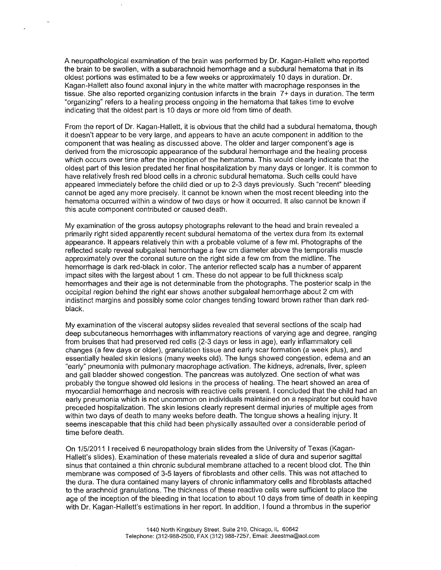A neuropathological examination of the brain was performed by Dr. Kagan-Hallett who reported the brain to be swollen, with a subarachnoid hemorrhage and a subdural hematoma that in its oldest portions was estimated to be a few weeks or approximately 10 days in duration. Dr. Kagan-Hallett also found axonal injury in the white matter with macrophage responses in the tissue. She also reported organizing contusion infarcts in the brain 7+ days in duration. The term "organizing" refers to a healing process ongoing in the hematoma that takes time to evolve indicating that the oldest part is <sup>10</sup> days or more old from time of death

From the report of Dr. Kagan-Hallett, it is obvious that the child had a subdural hematoma, though it doesn't appear to be very large, and appears to have an acute component in addition to the component that was healing as discussed above. The older and larger component's age is derived from the microscopic appearance of the subdural hemorrhage and the healing process which occurs over time after the inception of the hematoma. This would clearly indicate that the oldest part of this lesion predated her final hospitalization by many days or longer It is common to have relatively fresh red blood cells in a chronic subdural hematoma. Such cells could have appeared immediately before the child died or up to 2-3 days previously. Such "recent" bleeding cannot be aged any more precisely. It cannot be known when the most recent bleeding into the hematoma occurred within a window of two days or how it occurred. It also cannot be known if this acute component contributed or caused death

My examination of the gross autopsy photographs relevant to the head and brain revealed primarily right sided apparently recent subdural hematoma of the vertex dura from its external appearance. It appears relatively thin with a probable volume of a few ml. Photographs of the reflected scalp reveal subgaleal hemorrhage a few cm diameter above the temporalis muscle approximately over the coronal suture on the right side a few cm from the midline. The hemorrhage is dark red-black in color. The anterior reflected scalp has a number of apparent impact sites with the largest about 1 cm. These do not appear to be full thickness scalp hemorrhages and their age is not determinable from the photographs. The posterior scalp in the occipital region behind the right ear shows another subgaleal hemorrhage about 2 cm with indistinct margins and possibly some color changes tending toward brown rather than dark redblack

My examination of the visceral autopsy slides revealed that several sections of the scalp had deep subcutaneous hemorrhages with inflammatory reactions of varying age and degree, ranging from bruises that had preserved red cells (2-3 days or less in age), early inflammatory cell changes (a few days or older), granulation tissue and early scar formation (a week plus), and essentially healed skin lesions (many weeks old). The lungs showed congestion, edema and an "early" pneumonia with pulmonary macrophage activation. The kidneys, adrenals, liver, spleen and gall bladder showed congestion. The pancreas was autolyzed. One section of what was probably the tongue showed old lesions in the process of healing. The heart showed an area of myocardial hemorrhage and necrosis with reactive cells present. I concluded that the child had an early pneumonia which is not uncommon on individuals maintained on a respirator but could have preceded hospitalization The skin lesions clearly represent dermal injuries of multiple ages from within two days of death to many weeks before death. The tongue shows a healing injury. It seems inescapable that this child had been physically assaulted over a considerable period of time before death

On 1/5/2011 I received 6 neuropathology brain slides from the University of Texas (Kagan-Hallett's slides). Examination of these materials revealed a slide of dura and superior sagittal sinus that contained a thin chronic subdural membrane attached to a recent blood clot. The thin membrane was composed of 3-5 layers of fibroblasts and other cells This was not attached to the dura The dura contained many layers of chronic inflammatory cells and fibroblasts attached to the arachnoid granulations. The thickness of these reactive cells were sufficient to place the age of the inception of the bleeding in that location to about <sup>10</sup> days from time of death in keeping with Dr. Kagan-Hallett's estimations in her report. In addition, I found a thrombus in the superior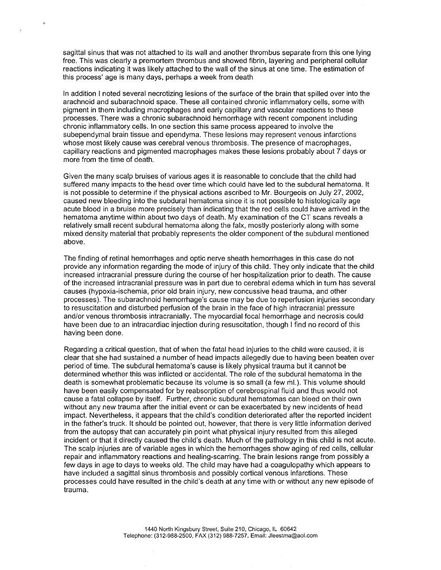sagittal sinus that was not attached to its wall and another thrombus separate from this one lying free. This was clearly a premortem thrombus and showed fibrin, layering and peripheral cellular reactions indicating it was likely attached to the wall of the sinus at one time. The estimation of this process' age is many days, perhaps a week from death

 $\bullet$ 

In addition I noted several necrotizing lesions of the surface of the brain that spilled over into the arachnoid and subarachnoid space. These all contained chronic inflammatory cells, some with pigment in them including macrophages and early capillary and vascular reactions to these processes There was chronic subarachnoid hemorrhage with recent component including chronic inflammatory cells. In one section this same process appeared to involve the subependymal brain tissue and ependyma. These lesions may represent venous infarctions whose most likely cause was cerebral venous thrombosis. The presence of macrophages, capillary reactions and pigmented macrophages makes these lesions probably about 7 days or more from the time of death

Given the many scalp bruises of various ages it is reasonable to conclude that the child had suffered many impacts to the head over time which could have led to the subdural hematoma It is not possible to determine if the physical actions ascribed to Mr. Bourgeois on July 27, 2002, caused new bleeding into the subdural hematoma since it is not possible to histologically age acute blood in a bruise more precisely than indicating that the red cells could have arrived in the hematoma anytime within about two days of death. My examination of the CT scans reveals a relatively small recent subdural hematoma along the falx, mostly posteriorly along with some mixed density material that probably represents the older component of the subdural mentioned above

The finding of retinal hemorrhages and optic nerve sheath hemorrhages in this case do not provide any information regarding the mode of injury of this child They only indicate that the child increased intracranial pressure during the course of her hospitalization prior to death. The cause of the increased intracranial pressure was in part due to cerebral edema which in turn has several causes (hypoxia-ischemia, prior old brain injury, new concussive head trauma, and other processes). The subarachnoid hemorrhage's cause may be due to reperfusion injuries secondary to resuscitation and disturbed perfusion of the brain in the face of high intracranial pressure and/or venous thrombosis intracranially. The myocardial focal hemorrhage and necrosis could have been due to an intracardiac injection during resuscitation, though I find no record of this having been done

Regarding a critical question, that of when the fatal head injuries to the child were caused, it is clear that she had sustained a number of head impacts allegedly due to having been beaten over period of time. The subdural hematoma's cause is likely physical trauma but it cannot be determined whether this was inflicted or accidental The role of the subdural hematoma in the death is somewhat problematic because its volume is so small (a few ml.). This volume should have been easily compensated for by reabsorption of cerebrospinal fluid and thus would not cause a fatal collapse by itself. Further, chronic subdural hematomas can bleed on their own without any new trauma after the initial event or can be exacerbated by new incidents of head impact. Nevertheless, it appears that the child's condition deteriorated after the reported incident in the father's truck. It should be pointed out, however, that there is very little information derived from the autopsy that can accurately pin point what physical injury resulted from this alleged incident or that it directly caused the child's death. Much of the pathology in this child is not acute. The scalp injuries are of variable ages in which the hemorrhages show aging of red cells, cellular repair and inflammatory reactions and healing-scarring. The brain lesions range from possibly a few days in age to days to weeks old. The child may have had a coagulopathy which appears to have included a sagittal sinus thrombosis and possibly cortical venous infarctions. These processes could have resulted in the child's death at any time with or without any new episode of trauma